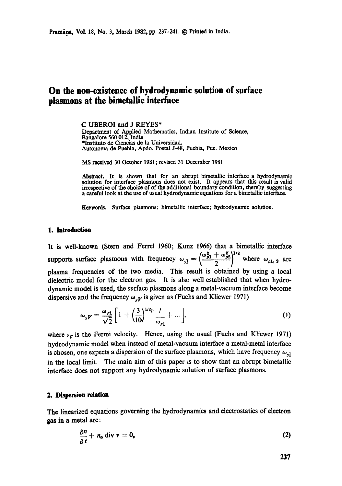# **On the non-existence of hydrodynamic solution of surface plasmons at the bimetallic interface**

**C UBEROI and J REYES\***  Department of Applied Mathematics, Indian Institute of Science, Bangalore 560 012, India \*Instituto de Ciencias de la Universidad, Autonoma de Puebla, Apdo. Postal J-48, Puebla, Pue. Mexico

MS received 30 October 1981 ; revised 31 December 1981

Abstract. It is shown that for an abrupt bimetallic interface a hydrodynamic solution for interface plasmons does not exist. It appears that this result is valid irrespective of **the choice of** of the additional boundary condition, thereby suggesting a careful look at the use of usual hydrodynamic equations for a bimetallic interface.

**Keywords.** Surface plasmons; bimetallic interface; hydrodynamic solution.

#### **1. Introduction**

It is well-known (Stern and Ferrel 1960; Kunz 1966) that a bimetallic interface supports surface plasmons with frequency  $\omega_{sI} = \left(\frac{\omega_{p1}^2 + \omega_{p2}^2}{2}\right)^{1/2}$  where  $\omega_{p1, 2}$  are plasma frequencies of the two media. This result is obtained by using a local dielectric model for the electron gas. It is also well established that when hydrodynamic model is used, the surface plasmons along a metal-vacuum interface become dispersive and the frequency  $\omega_{\rm v}$  is given as (Fuchs and Kliewer 1971)

$$
\omega_{sV} = \frac{\omega_{p1}}{\sqrt{2}} \left[ 1 + \left( \frac{3}{10} \right)^{1/2} v \frac{l}{\omega_{p1}} + \dots \right],
$$
 (1)

where  $v_F$  is the Fermi velocity. Hence, using the usual (Fuchs and Kliewer 1971) hydrodynamic model when instead of metal-vacuum interface a metal-metal interface is chosen, one expects a dispersion of the surface plasmons, which have frequency  $\omega_{sI}$ in the local limit. The main aim of this paper is to show that an abrupt bimetallic interface does not support any hydrodynamic solution of surface plasmons.

## **2. Dispersion relation**

**The** linearized equations governing the hydrodynamics and electrostatics of electron gas in a metal are:

$$
\frac{\partial n}{\partial t} + n_0 \text{ div } \mathbf{v} = 0,
$$
 (2)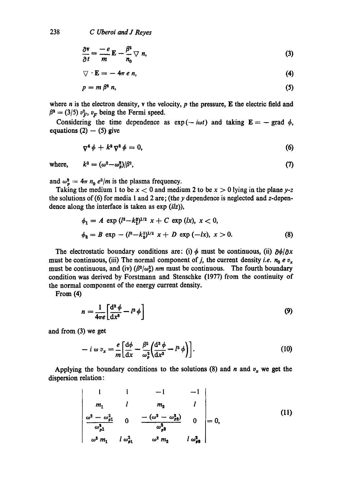$$
\frac{\partial \mathbf{v}}{\partial t} = \frac{-e}{m} \mathbf{E} - \frac{\beta^2}{n_0} \nabla n, \tag{3}
$$

$$
\nabla \cdot \mathbf{E} = -4\pi e n, \tag{4}
$$

$$
p = m \beta^2 n, \tag{5}
$$

where *n* is the electron density, *v* the velocity, *p* the pressure, **E** the electric field and  $\beta^2 = (3/5) v_F^2$ ,  $v_F$  being the Fermi speed.

Considering the time dependence as  $exp(-i\omega t)$  and taking  $E = -$  grad  $\phi$ , equations  $(2) - (5)$  give

$$
\nabla^4 \phi + k^2 \nabla^2 \phi = 0, \qquad (6)
$$

where,  $k^2 = (\omega^2 - \omega_p^2)/\beta^2$ , (7)

and  $\omega_p^2 = 4\pi n_0 e^2/m$  is the plasma frequency.

Taking the medium 1 to be  $x < 0$  and medium 2 to be  $x > 0$  lying in the plane *y*-z the solutions of (6) for media I and 2 are; (the y dependence is neglected and z-dependence along the interface is taken as exp *(ilz)),* 

$$
\phi_1 = A \exp (l^2 - k_1^2)^{1/2} x + C \exp (lx), x < 0,
$$
  
\n
$$
\phi_2 = B \exp -(l^2 - k_2^2)^{1/2} x + D \exp (-lx), x > 0.
$$
 (8)

The electrostatic boundary conditions are: (i)  $\phi$  must be continuous, (ii)  $\frac{\partial \phi}{\partial x}$ must be continuous, (iii) The normal component of j, the current density *i.e.*  $n_0 e v_x$ must be continuous, and (iv)  $(\beta^2/\omega_0^2)$  *nm* must be continuous. The fourth boundary condition was derived by Forstmann and Stenschke (1977) from the continuity of the normal component of the energy current density.

From (4)

$$
n = \frac{1}{4\pi e} \left[ \frac{\mathrm{d}^2 \phi}{\mathrm{d} x^2} - l^2 \phi \right] \tag{9}
$$

and from (3) we get

$$
- i \omega v_x = \frac{e}{m} \left[ \frac{d\phi}{dx} - \frac{\beta^2}{\omega_p^2} \left( \frac{d^3 \phi}{dx^3} - l^2 \phi \right) \right]. \tag{10}
$$

Applying the boundary conditions to the solutions (8) and n and  $v_x$  we get the dispersion relation:

$$
\begin{vmatrix}\n1 & 1 & -1 & -1 \\
m_1 & l & m_2 & l \\
\frac{\omega^2 - \omega_{p1}^2}{\omega_{p1}^2} & 0 & \frac{-(\omega^2 - \omega_{p2}^2)}{\omega_{p2}^2} & 0 \\
\frac{\omega^2 m_1}{\omega_{p1}^2} & \frac{\omega^2 m_2}{\omega_{p2}^2} & l \omega_{p1}^2\n\end{vmatrix} = 0,
$$
\n(11)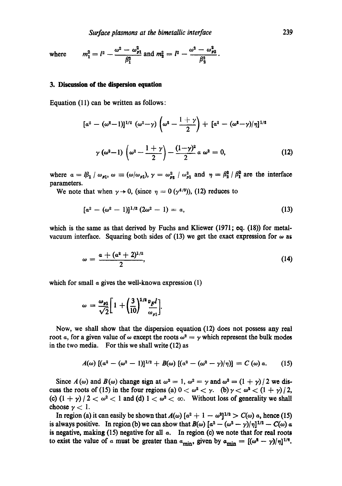$m_1^2 = l^2 - \frac{\omega^2 - \omega_{p1}^2}{\beta_1^2}$  and  $m_2^2 = l^2 - \frac{\omega^2 - \omega_{p2}^2}{\beta_2^2}$ . where

#### **3. Discussion of the dispersion equation**

Equation (11) can be written as follows:

$$
[\alpha^{2} - (\omega^{2} - 1)]^{1/2} (\omega^{2} - \gamma) (\omega^{2} - \frac{1 + \gamma}{2}) + [\alpha^{2} - (\omega^{2} - \gamma)/\eta]^{1/2}
$$
  

$$
\gamma (\omega^{2} - 1) (\omega^{2} - \frac{1 + \gamma}{2}) - \frac{(1 - \gamma)^{2}}{2} \alpha \omega^{2} = 0,
$$
 (12)

where  $a = \beta_1 / \omega_{p1}$ ,  $\omega = (\omega / \omega_{p1}), \gamma = \omega_{p2}^2 / \omega_{p1}^2$  and  $\eta = \beta_2^2 / \beta_1^2$  are the interface parameters.

We note that when  $\gamma \rightarrow 0$ , (since  $\eta = 0$  ( $\gamma^{4/3}$ )), (12) reduces to

$$
[a2 - (\omega2 - 1)]1/2 (2\omega2 - 1) = a,
$$
 (13)

which is the same as that derived by Fuchs and Kliewer  $(1971; eq. (18))$  for metalvacuum interface. Squaring both sides of (13) we get the exact expression for  $\omega$  as

$$
\omega = \frac{a + (a^2 + 2)^{1/2}}{2},\tag{14}
$$

which for small  $\alpha$  gives the well-known expression (1)

$$
\omega = \frac{\omega_{\mathbf{p}1}}{\sqrt{2}} \bigg[ 1 + \bigg( \frac{3}{10} \bigg)^{1/2} \frac{v_F l}{\omega_{\mathbf{p}1}} \bigg].
$$

Now, we shall show that the dispersion equation (12) does not possess any real root a, for a given value of  $\omega$  except the roots  $\omega^2 = \gamma$  which represent the bulk modes in the two media. For this we shall write (12) as

$$
A(\omega) \left[ (a^2 - (\omega^2 - 1))^{1/2} + B(\omega) \left[ (a^2 - (\omega^2 - \gamma)/\eta) \right] = C(\omega) \alpha. \qquad (15)
$$

Since  $A(\omega)$  and  $B(\omega)$  change sign at  $\omega^2 = 1$ ,  $\omega^2 = \gamma$  and  $\omega^2 = (1 + \gamma)/2$  we discuss the roots of (15) in the four regions (a)  $0 < \omega^2 < \gamma$ . (b)  $\gamma < \omega^2 < (1 + \gamma)/2$ , (c)  $(1 + \gamma)/2 < \omega^2 < 1$  and (d)  $1 < \omega^2 < \infty$ . Without loss of generality we shall choose  $\gamma < 1$ .

In region (a) it can easily be shown that  $A(\omega)$   $\left[a^2 + 1 - \omega^2\right]^{1/2} > C(\omega)$  a, hence (15) is always positive. In region (b) we can show that  $B(\omega)$   $[a^2 - (\omega^2 - \gamma)/\eta]^{1/2} - C(\omega)$  a is negative, making  $(15)$  negative for all  $\alpha$ . In region  $(c)$  we note that for real roots to exist the value of a must be greater than  $a_{\min}$ , given by  $a_{\min} = [(\omega^2 - \gamma)/\eta]^{1/2}$ .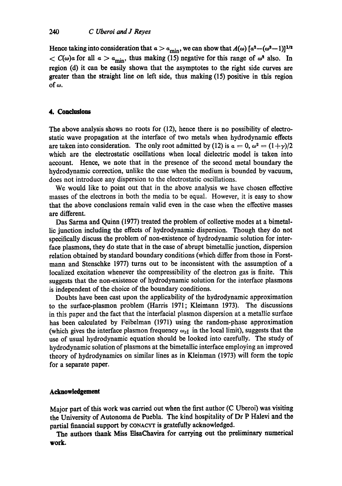Hence taking into consideration that  $a > a_{\text{min}}$ , we can show that  $A(\omega)$   $[a^2 - (\omega^2 - 1)]^{1/2}$  $< C(\omega)$  a for all  $\alpha > a_{\text{min}}$ , thus making (15) negative for this range of  $\omega^2$  also. In region (d) it can be easily shown that the asymptotes to the right side curves are greater than the straight line on left side, thus making (15) positive in this region of  $\omega$ .

# 4. Conclusions

The above analysis shows no roots for (12), hence there is no possibility of electrostatic wave propagation at the interface of two metals when hydrodynamic effects are taken into consideration. The only root admitted by (12) is  $a = 0$ ,  $\omega^2 = (1 + \gamma)/2$ which are the electrostatic oscillations when local dielectric model is taken into account. Hence, we note that in the presence of the second metal boundary the hydrodynamic correction, unlike the case when the medium is bounded by vacuum, does not introduce any dispersion to the electrostatic oscillations.

We would like to point out that in the above analysis we have chosen effective masses of the electrons in both the media to be equal. However, it is easy to show that the above conclusions remain valid even in the case when the effective masses are different.

Das Sarma and Quinn (1977) treated the problem of collective modes at a bimetallic junction including the effects of hydrodynamic dispersion. Though they do not specifically discuss the problem of non-existence of hydrodynamic solution for interface plasmons, they do state that in the ease of abrupt bimetallic junction, dispersion relation obtained by standard boundary conditions (which differ from those in Forstmann and Stenschke 1977) turns out to be inconsistent with the assumption of a localized excitation whenever the compressibility of the electron gas is finite. This suggests that the non-existence of hydrodynamic solution for the interface plasmons is independent of the choice of the boundary conditions.

Doubts have been cast upon the applicability of the hydrodynamic approximation to the surface-plasmon problem (Harris 1971; Kleimann 1973). The discussions in this paper and the fact that the interfacial plasmon dispersion at a metallic surface has been calculated by Feibelman (1971) using the random-phase approximation (which gives the interface plasmon frequency  $\omega_{\text{SI}}$  in the local limit), suggests that the use of usual hydrodynamic equation should be looked into carefully. The study of hydrodynamic solution of plasmons at the bimetallic interface employing an improved theory of hydrodynamics on similar lines as in Kleinman (1973) will form the topic for a separate paper.

## **Acknowledgement**

Major part of this work was carried out when the first author (C Uberoi) was visiting the University of Autonoma de Puebla. The kind hospitality of Dr P Halevi and the partial financial support by CONACYT is gratefully acknowledged.

The authors thank Miss ElsaChavira for carrying out the preliminary numerical **work.**